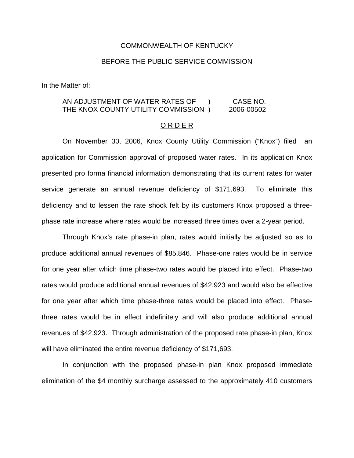#### COMMONWEALTH OF KENTUCKY

#### BEFORE THE PUBLIC SERVICE COMMISSION

In the Matter of:

### AN ADJUSTMENT OF WATER RATES OF ) CASE NO. THE KNOX COUNTY UTILITY COMMISSION ) 2006-00502

#### O R D E R

On November 30, 2006, Knox County Utility Commission ("Knox") filed an application for Commission approval of proposed water rates. In its application Knox presented pro forma financial information demonstrating that its current rates for water service generate an annual revenue deficiency of \$171,693. To eliminate this deficiency and to lessen the rate shock felt by its customers Knox proposed a threephase rate increase where rates would be increased three times over a 2-year period.

Through Knox's rate phase-in plan, rates would initially be adjusted so as to produce additional annual revenues of \$85,846. Phase-one rates would be in service for one year after which time phase-two rates would be placed into effect. Phase-two rates would produce additional annual revenues of \$42,923 and would also be effective for one year after which time phase-three rates would be placed into effect. Phasethree rates would be in effect indefinitely and will also produce additional annual revenues of \$42,923. Through administration of the proposed rate phase-in plan, Knox will have eliminated the entire revenue deficiency of \$171,693.

In conjunction with the proposed phase-in plan Knox proposed immediate elimination of the \$4 monthly surcharge assessed to the approximately 410 customers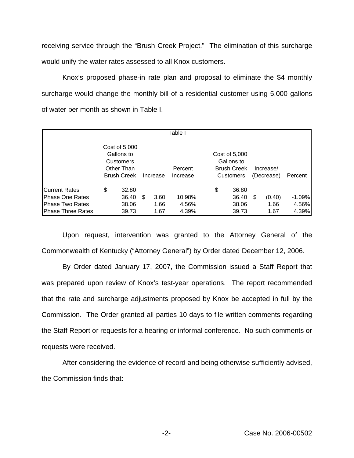receiving service through the "Brush Creek Project." The elimination of this surcharge would unify the water rates assessed to all Knox customers.

Knox's proposed phase-in rate plan and proposal to eliminate the \$4 monthly surcharge would change the monthly bill of a residential customer using 5,000 gallons of water per month as shown in Table I.

|                                                                                     |    |          |   |                     | Table I                                                        |    |                         |   |         |          |
|-------------------------------------------------------------------------------------|----|----------|---|---------------------|----------------------------------------------------------------|----|-------------------------|---|---------|----------|
| Cost of 5,000<br>Gallons to<br><b>Customers</b><br>Other Than<br><b>Brush Creek</b> |    | Increase |   | Percent<br>Increase | Cost of 5,000<br>Gallons to<br><b>Brush Creek</b><br>Customers |    | Increase/<br>(Decrease) |   | Percent |          |
| <b>Current Rates</b>                                                                | \$ | 32.80    |   |                     |                                                                | \$ | 36.80                   |   |         |          |
| <b>Phase One Rates</b>                                                              |    | 36.40    | S | 3.60                | 10.98%                                                         |    | 36.40                   | S | (0.40)  | $-1.09%$ |
| <b>Phase Two Rates</b>                                                              |    | 38.06    |   | 1.66                | 4.56%                                                          |    | 38.06                   |   | 1.66    | 4.56%    |
| <b>Phase Three Rates</b>                                                            |    | 39.73    |   | 1.67                | 4.39%                                                          |    | 39.73                   |   | 1.67    | 4.39%    |

Upon request, intervention was granted to the Attorney General of the Commonwealth of Kentucky ("Attorney General") by Order dated December 12, 2006.

By Order dated January 17, 2007, the Commission issued a Staff Report that was prepared upon review of Knox's test-year operations. The report recommended that the rate and surcharge adjustments proposed by Knox be accepted in full by the Commission. The Order granted all parties 10 days to file written comments regarding the Staff Report or requests for a hearing or informal conference. No such comments or requests were received.

After considering the evidence of record and being otherwise sufficiently advised, the Commission finds that: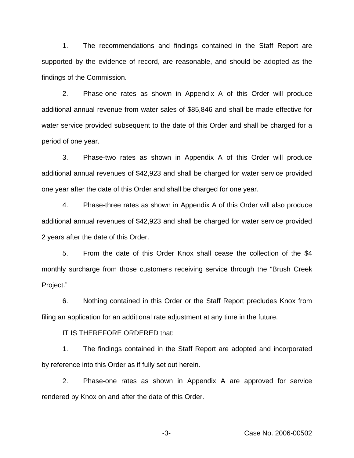1. The recommendations and findings contained in the Staff Report are supported by the evidence of record, are reasonable, and should be adopted as the findings of the Commission.

2. Phase-one rates as shown in Appendix A of this Order will produce additional annual revenue from water sales of \$85,846 and shall be made effective for water service provided subsequent to the date of this Order and shall be charged for a period of one year.

3. Phase-two rates as shown in Appendix A of this Order will produce additional annual revenues of \$42,923 and shall be charged for water service provided one year after the date of this Order and shall be charged for one year.

4. Phase-three rates as shown in Appendix A of this Order will also produce additional annual revenues of \$42,923 and shall be charged for water service provided 2 years after the date of this Order.

5. From the date of this Order Knox shall cease the collection of the \$4 monthly surcharge from those customers receiving service through the "Brush Creek Project."

6. Nothing contained in this Order or the Staff Report precludes Knox from filing an application for an additional rate adjustment at any time in the future.

IT IS THEREFORE ORDERED that:

1. The findings contained in the Staff Report are adopted and incorporated by reference into this Order as if fully set out herein.

2. Phase-one rates as shown in Appendix A are approved for service rendered by Knox on and after the date of this Order.

-3- Case No. 2006-00502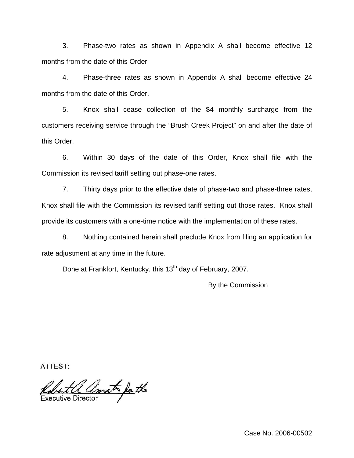3. Phase-two rates as shown in Appendix A shall become effective 12 months from the date of this Order

4. Phase-three rates as shown in Appendix A shall become effective 24 months from the date of this Order.

5. Knox shall cease collection of the \$4 monthly surcharge from the customers receiving service through the "Brush Creek Project" on and after the date of this Order.

6. Within 30 days of the date of this Order, Knox shall file with the Commission its revised tariff setting out phase-one rates.

7. Thirty days prior to the effective date of phase-two and phase-three rates, Knox shall file with the Commission its revised tariff setting out those rates. Knox shall provide its customers with a one-time notice with the implementation of these rates.

8. Nothing contained herein shall preclude Knox from filing an application for rate adjustment at any time in the future.

Done at Frankfort, Kentucky, this 13<sup>th</sup> day of February, 2007.

By the Commission

**ATTEST:** 

Robert a amat for the

Case No. 2006-00502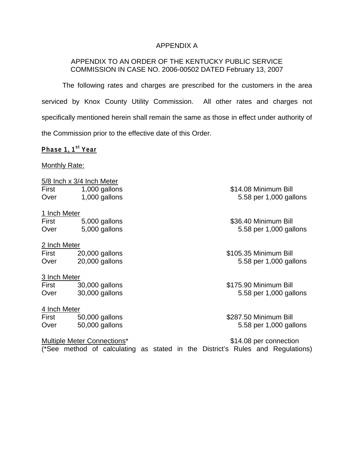### APPENDIX A

## APPENDIX TO AN ORDER OF THE KENTUCKY PUBLIC SERVICE COMMISSION IN CASE NO. 2006-00502 DATED February 13, 2007

The following rates and charges are prescribed for the customers in the area serviced by Knox County Utility Commission. All other rates and charges not specifically mentioned herein shall remain the same as those in effect under authority of the Commission prior to the effective date of this Order.

## **Phase 1, 1st Year**

Monthly Rate:

|              | 5/8 Inch x 3/4 Inch Meter |                        |
|--------------|---------------------------|------------------------|
| First        | 1,000 gallons             | \$14.08 Minimum Bill   |
| Over         | 1,000 gallons             | 5.58 per 1,000 gallons |
| 1 Inch Meter |                           |                        |
| First        | 5,000 gallons             | \$36.40 Minimum Bill   |
| Over         | 5,000 gallons             | 5.58 per 1,000 gallons |
| 2 Inch Meter |                           |                        |
| First        | $20,000$ gallons          | \$105.35 Minimum Bill  |
| Over         | 20,000 gallons            | 5.58 per 1,000 gallons |
| 3 Inch Meter |                           |                        |
| First        | 30,000 gallons            | \$175.90 Minimum Bill  |
| Over         | 30,000 gallons            | 5.58 per 1,000 gallons |
| 4 Inch Meter |                           |                        |
| First        | 50,000 gallons            | \$287.50 Minimum Bill  |
| Over         | 50,000 gallons            | 5.58 per 1,000 gallons |

Multiple Meter Connections\* button was seen to the \$14.08 per connection (\*See method of calculating as stated in the District's Rules and Regulations)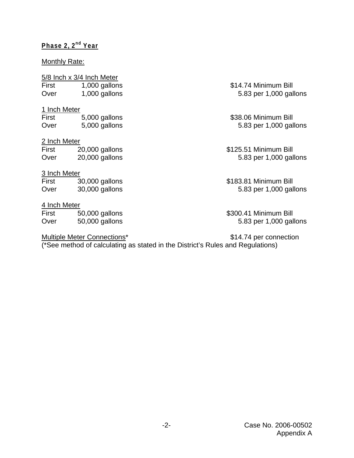# **Phase 2, 2nd Year**

## Monthly Rate:

## 5/8 Inch x 3/4 Inch Meter

| <b>First</b> | 1,000 gallons |
|--------------|---------------|
| Over         | 1,000 gallons |

1 Inch Meter

First 5,000 gallons \$38.06 Minimum Bill Over 5,000 gallons 5.83 per 1,000 gallons

## 2 Inch Meter

| First | 20,000 gallons |
|-------|----------------|
| Over  | 20,000 gallons |

## 3 Inch Meter

First 30,000 gallons \$183.81 Minimum Bill Over 30,000 gallons 5.83 per 1,000 gallons

4 Inch Meter<br>First 50,000 gallons First 50,000 gallons \$300.41 Minimum Bill<br>Over 50,000 gallons 5.83 per 1,000 gal Over 50,000 gallons 5.83 per 1,000 gallons

## Multiple Meter Connections\* button was a \$14.74 per connection

\$14.74 Minimum Bill 5.83 per 1,000 gallons

\$125.51 Minimum Bill 5.83 per 1,000 gallons

(\*See method of calculating as stated in the District's Rules and Regulations)